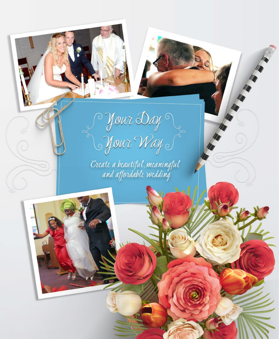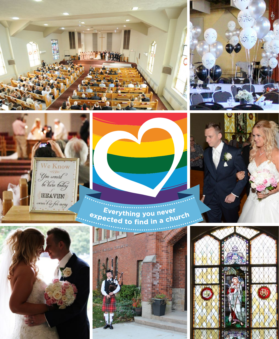







Everything you never<br>expected to find in a church







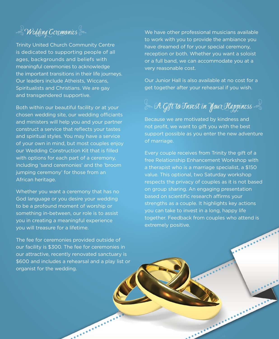& Wedding Ceremonies

Trinity United Church Community Centre is dedicated to supporting people of all ages, backgrounds and beliefs with meaningful ceremonies to acknowledge the important transitions in their life journeys. Our leaders include Atheists, Wiccans, Spiritualists and Christians. We are gay and transgendered supportive.

Both within our beautiful facility or at your chosen wedding site, our wedding officiants and ministers will help you and your partner construct a service that reflects your tastes and spiritual styles. You may have a service of your own in mind, but most couples enjoy our Wedding Construction Kit that is filled with options for each part of a ceremony, including 'sand ceremonies' and the 'broom jumping ceremony' for those from an African heritage.

Whether you want a ceremony that has no God language or you desire your wedding to be a profound moment of worship or something in-between, our role is to assist you in creating a meaningful experience you will treasure for a lifetime.

The fee for ceremonies provided outside of our facility is \$300. The fee for ceremonies in our attractive, recently renovated sanctuary is \$600 and includes a rehearsal and a play list or organist for the wedding.

We have other professional musicians available to work with you to provide the ambiance you have dreamed of for your special ceremony, reception or both. Whether you want a soloist or a full band, we can accommodate you at a very reasonable cost.

Our Junior Hall is also available at no cost for a get together after your rehearsal if you wish.

 $\stackrel{\scriptscriptstyle <}{\ll}$  A Gift to Tnvest in Your Happiness  $\stackrel{\scriptscriptstyle <}{\ll}$ 

Because we are motivated by kindness and not profit, we want to gift you with the best support possible as you enter the new adventure of marriage.

Every couple receives from Trinity the gift of a free Relationship Enhancement Workshop with a therapist who is a marriage specialist, a \$150 value. This optional, two Saturday workshop respects the privacy of couples as it is not based on group sharing. An engaging presentation based on scientific research affirms your strengths as a couple. It highlights key actions you can take to invest in a long, happy life together. Feedback from couples who attend is extremely positive.

........